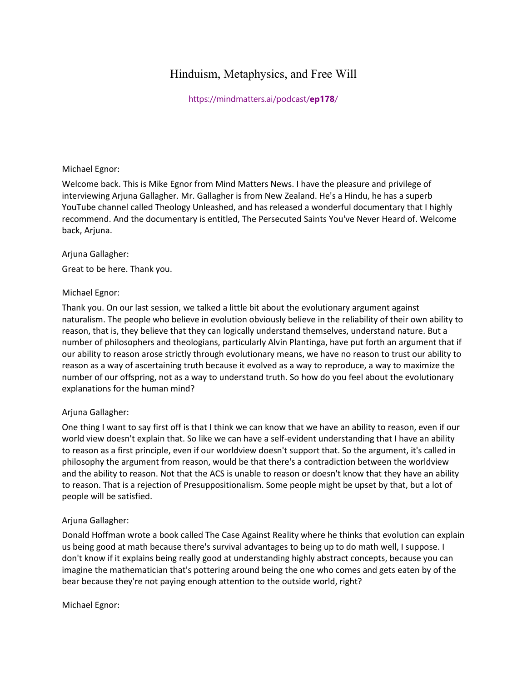# Hinduism, Metaphysics, and Free Will

[https://mindmatters.ai/podcast/](https://mindmatters.ai/podcast/ep178/)**ep178**/

#### Michael Egnor:

Welcome back. This is Mike Egnor from Mind Matters News. I have the pleasure and privilege of interviewing Arjuna Gallagher. Mr. Gallagher is from New Zealand. He's a Hindu, he has a superb YouTube channel called Theology Unleashed, and has released a wonderful documentary that I highly recommend. And the documentary is entitled, The Persecuted Saints You've Never Heard of. Welcome back, Arjuna.

#### Arjuna Gallagher:

Great to be here. Thank you.

# Michael Egnor:

Thank you. On our last session, we talked a little bit about the evolutionary argument against naturalism. The people who believe in evolution obviously believe in the reliability of their own ability to reason, that is, they believe that they can logically understand themselves, understand nature. But a number of philosophers and theologians, particularly Alvin Plantinga, have put forth an argument that if our ability to reason arose strictly through evolutionary means, we have no reason to trust our ability to reason as a way of ascertaining truth because it evolved as a way to reproduce, a way to maximize the number of our offspring, not as a way to understand truth. So how do you feel about the evolutionary explanations for the human mind?

# Arjuna Gallagher:

One thing I want to say first off is that I think we can know that we have an ability to reason, even if our world view doesn't explain that. So like we can have a self-evident understanding that I have an ability to reason as a first principle, even if our worldview doesn't support that. So the argument, it's called in philosophy the argument from reason, would be that there's a contradiction between the worldview and the ability to reason. Not that the ACS is unable to reason or doesn't know that they have an ability to reason. That is a rejection of Presuppositionalism. Some people might be upset by that, but a lot of people will be satisfied.

# Arjuna Gallagher:

Donald Hoffman wrote a book called The Case Against Reality where he thinks that evolution can explain us being good at math because there's survival advantages to being up to do math well, I suppose. I don't know if it explains being really good at understanding highly abstract concepts, because you can imagine the mathematician that's pottering around being the one who comes and gets eaten by of the bear because they're not paying enough attention to the outside world, right?

Michael Egnor: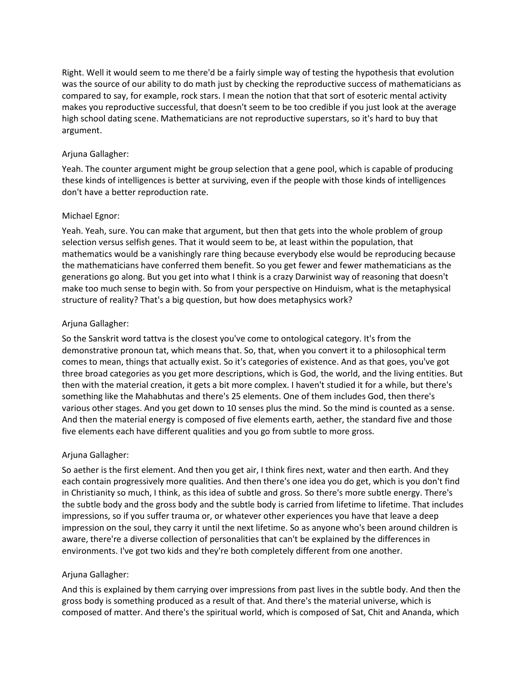Right. Well it would seem to me there'd be a fairly simple way of testing the hypothesis that evolution was the source of our ability to do math just by checking the reproductive success of mathematicians as compared to say, for example, rock stars. I mean the notion that that sort of esoteric mental activity makes you reproductive successful, that doesn't seem to be too credible if you just look at the average high school dating scene. Mathematicians are not reproductive superstars, so it's hard to buy that argument.

# Arjuna Gallagher:

Yeah. The counter argument might be group selection that a gene pool, which is capable of producing these kinds of intelligences is better at surviving, even if the people with those kinds of intelligences don't have a better reproduction rate.

# Michael Egnor:

Yeah. Yeah, sure. You can make that argument, but then that gets into the whole problem of group selection versus selfish genes. That it would seem to be, at least within the population, that mathematics would be a vanishingly rare thing because everybody else would be reproducing because the mathematicians have conferred them benefit. So you get fewer and fewer mathematicians as the generations go along. But you get into what I think is a crazy Darwinist way of reasoning that doesn't make too much sense to begin with. So from your perspective on Hinduism, what is the metaphysical structure of reality? That's a big question, but how does metaphysics work?

# Arjuna Gallagher:

So the Sanskrit word tattva is the closest you've come to ontological category. It's from the demonstrative pronoun tat, which means that. So, that, when you convert it to a philosophical term comes to mean, things that actually exist. So it's categories of existence. And as that goes, you've got three broad categories as you get more descriptions, which is God, the world, and the living entities. But then with the material creation, it gets a bit more complex. I haven't studied it for a while, but there's something like the Mahabhutas and there's 25 elements. One of them includes God, then there's various other stages. And you get down to 10 senses plus the mind. So the mind is counted as a sense. And then the material energy is composed of five elements earth, aether, the standard five and those five elements each have different qualities and you go from subtle to more gross.

# Arjuna Gallagher:

So aether is the first element. And then you get air, I think fires next, water and then earth. And they each contain progressively more qualities. And then there's one idea you do get, which is you don't find in Christianity so much, I think, as this idea of subtle and gross. So there's more subtle energy. There's the subtle body and the gross body and the subtle body is carried from lifetime to lifetime. That includes impressions, so if you suffer trauma or, or whatever other experiences you have that leave a deep impression on the soul, they carry it until the next lifetime. So as anyone who's been around children is aware, there're a diverse collection of personalities that can't be explained by the differences in environments. I've got two kids and they're both completely different from one another.

# Arjuna Gallagher:

And this is explained by them carrying over impressions from past lives in the subtle body. And then the gross body is something produced as a result of that. And there's the material universe, which is composed of matter. And there's the spiritual world, which is composed of Sat, Chit and Ananda, which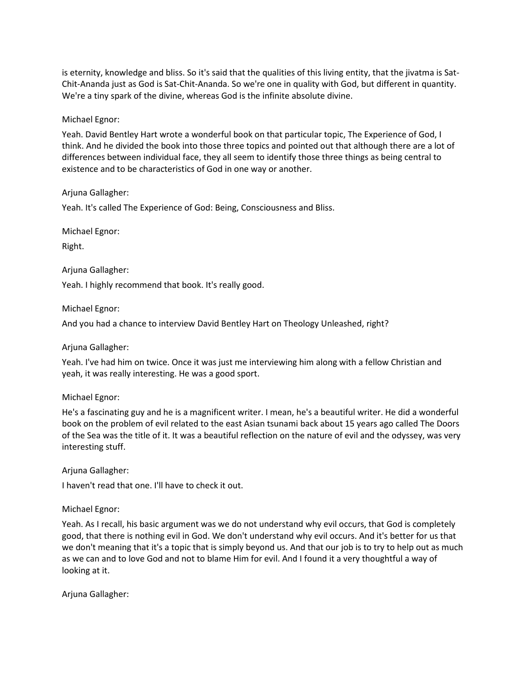is eternity, knowledge and bliss. So it's said that the qualities of this living entity, that the jivatma is Sat-Chit-Ananda just as God is Sat-Chit-Ananda. So we're one in quality with God, but different in quantity. We're a tiny spark of the divine, whereas God is the infinite absolute divine.

#### Michael Egnor:

Yeah. David Bentley Hart wrote a wonderful book on that particular topic, The Experience of God, I think. And he divided the book into those three topics and pointed out that although there are a lot of differences between individual face, they all seem to identify those three things as being central to existence and to be characteristics of God in one way or another.

#### Arjuna Gallagher:

Yeah. It's called The Experience of God: Being, Consciousness and Bliss.

Michael Egnor:

Right.

Arjuna Gallagher:

Yeah. I highly recommend that book. It's really good.

Michael Egnor:

And you had a chance to interview David Bentley Hart on Theology Unleashed, right?

# Arjuna Gallagher:

Yeah. I've had him on twice. Once it was just me interviewing him along with a fellow Christian and yeah, it was really interesting. He was a good sport.

#### Michael Egnor:

He's a fascinating guy and he is a magnificent writer. I mean, he's a beautiful writer. He did a wonderful book on the problem of evil related to the east Asian tsunami back about 15 years ago called The Doors of the Sea was the title of it. It was a beautiful reflection on the nature of evil and the odyssey, was very interesting stuff.

Arjuna Gallagher:

I haven't read that one. I'll have to check it out.

#### Michael Egnor:

Yeah. As I recall, his basic argument was we do not understand why evil occurs, that God is completely good, that there is nothing evil in God. We don't understand why evil occurs. And it's better for us that we don't meaning that it's a topic that is simply beyond us. And that our job is to try to help out as much as we can and to love God and not to blame Him for evil. And I found it a very thoughtful a way of looking at it.

Arjuna Gallagher: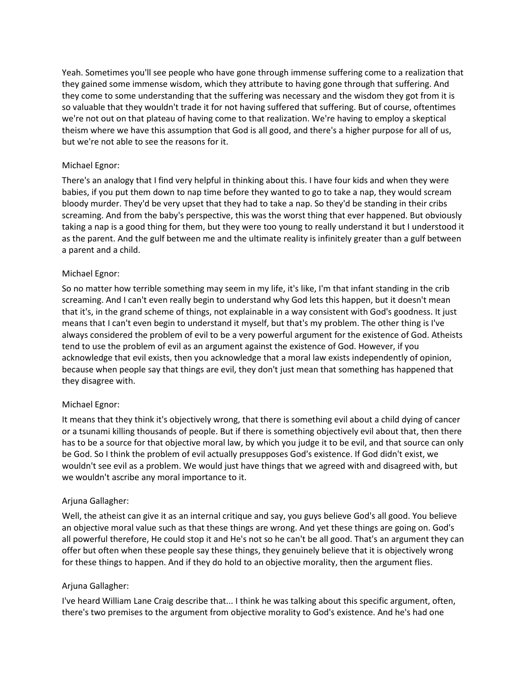Yeah. Sometimes you'll see people who have gone through immense suffering come to a realization that they gained some immense wisdom, which they attribute to having gone through that suffering. And they come to some understanding that the suffering was necessary and the wisdom they got from it is so valuable that they wouldn't trade it for not having suffered that suffering. But of course, oftentimes we're not out on that plateau of having come to that realization. We're having to employ a skeptical theism where we have this assumption that God is all good, and there's a higher purpose for all of us, but we're not able to see the reasons for it.

# Michael Egnor:

There's an analogy that I find very helpful in thinking about this. I have four kids and when they were babies, if you put them down to nap time before they wanted to go to take a nap, they would scream bloody murder. They'd be very upset that they had to take a nap. So they'd be standing in their cribs screaming. And from the baby's perspective, this was the worst thing that ever happened. But obviously taking a nap is a good thing for them, but they were too young to really understand it but I understood it as the parent. And the gulf between me and the ultimate reality is infinitely greater than a gulf between a parent and a child.

# Michael Egnor:

So no matter how terrible something may seem in my life, it's like, I'm that infant standing in the crib screaming. And I can't even really begin to understand why God lets this happen, but it doesn't mean that it's, in the grand scheme of things, not explainable in a way consistent with God's goodness. It just means that I can't even begin to understand it myself, but that's my problem. The other thing is I've always considered the problem of evil to be a very powerful argument for the existence of God. Atheists tend to use the problem of evil as an argument against the existence of God. However, if you acknowledge that evil exists, then you acknowledge that a moral law exists independently of opinion, because when people say that things are evil, they don't just mean that something has happened that they disagree with.

# Michael Egnor:

It means that they think it's objectively wrong, that there is something evil about a child dying of cancer or a tsunami killing thousands of people. But if there is something objectively evil about that, then there has to be a source for that objective moral law, by which you judge it to be evil, and that source can only be God. So I think the problem of evil actually presupposes God's existence. If God didn't exist, we wouldn't see evil as a problem. We would just have things that we agreed with and disagreed with, but we wouldn't ascribe any moral importance to it.

# Arjuna Gallagher:

Well, the atheist can give it as an internal critique and say, you guys believe God's all good. You believe an objective moral value such as that these things are wrong. And yet these things are going on. God's all powerful therefore, He could stop it and He's not so he can't be all good. That's an argument they can offer but often when these people say these things, they genuinely believe that it is objectively wrong for these things to happen. And if they do hold to an objective morality, then the argument flies.

# Arjuna Gallagher:

I've heard William Lane Craig describe that... I think he was talking about this specific argument, often, there's two premises to the argument from objective morality to God's existence. And he's had one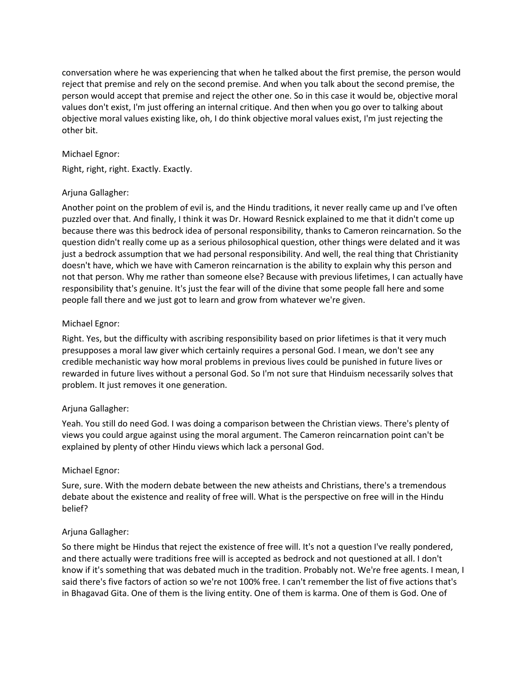conversation where he was experiencing that when he talked about the first premise, the person would reject that premise and rely on the second premise. And when you talk about the second premise, the person would accept that premise and reject the other one. So in this case it would be, objective moral values don't exist, I'm just offering an internal critique. And then when you go over to talking about objective moral values existing like, oh, I do think objective moral values exist, I'm just rejecting the other bit.

# Michael Egnor:

Right, right, right. Exactly. Exactly.

# Arjuna Gallagher:

Another point on the problem of evil is, and the Hindu traditions, it never really came up and I've often puzzled over that. And finally, I think it was Dr. Howard Resnick explained to me that it didn't come up because there was this bedrock idea of personal responsibility, thanks to Cameron reincarnation. So the question didn't really come up as a serious philosophical question, other things were delated and it was just a bedrock assumption that we had personal responsibility. And well, the real thing that Christianity doesn't have, which we have with Cameron reincarnation is the ability to explain why this person and not that person. Why me rather than someone else? Because with previous lifetimes, I can actually have responsibility that's genuine. It's just the fear will of the divine that some people fall here and some people fall there and we just got to learn and grow from whatever we're given.

# Michael Egnor:

Right. Yes, but the difficulty with ascribing responsibility based on prior lifetimes is that it very much presupposes a moral law giver which certainly requires a personal God. I mean, we don't see any credible mechanistic way how moral problems in previous lives could be punished in future lives or rewarded in future lives without a personal God. So I'm not sure that Hinduism necessarily solves that problem. It just removes it one generation.

# Arjuna Gallagher:

Yeah. You still do need God. I was doing a comparison between the Christian views. There's plenty of views you could argue against using the moral argument. The Cameron reincarnation point can't be explained by plenty of other Hindu views which lack a personal God.

# Michael Egnor:

Sure, sure. With the modern debate between the new atheists and Christians, there's a tremendous debate about the existence and reality of free will. What is the perspective on free will in the Hindu belief?

# Arjuna Gallagher:

So there might be Hindus that reject the existence of free will. It's not a question I've really pondered, and there actually were traditions free will is accepted as bedrock and not questioned at all. I don't know if it's something that was debated much in the tradition. Probably not. We're free agents. I mean, I said there's five factors of action so we're not 100% free. I can't remember the list of five actions that's in Bhagavad Gita. One of them is the living entity. One of them is karma. One of them is God. One of